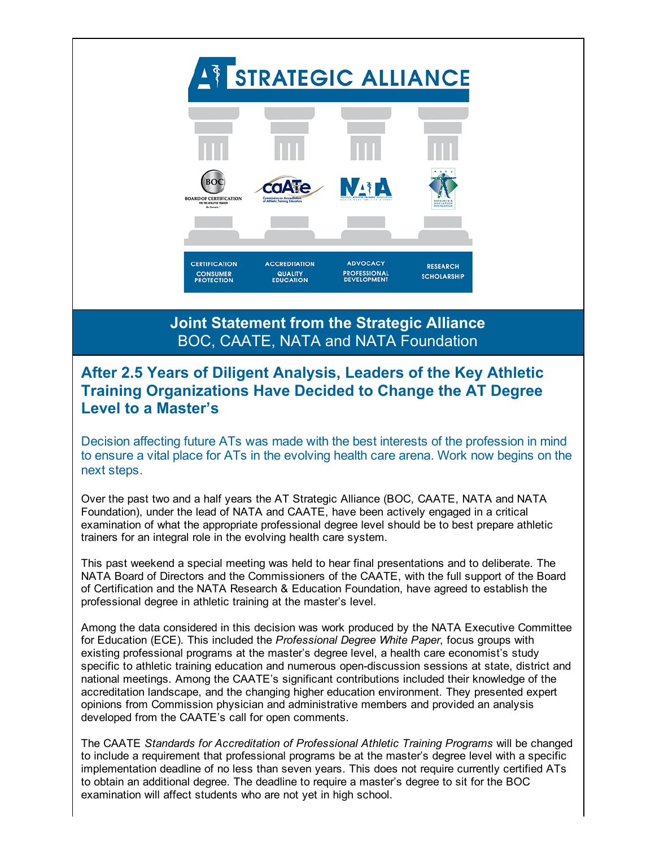A STRATEGIC ALLIANCE **BOC NATA** RD OF CERTIFICATION **CERTIFICATION ACCREDITATION ADVOCACY RESEARCH CONSUMER**<br>**PROTECTION QUALITY**<br>EDUCATION **PROFESSIONAL**<br>DEVELOPMENT **SCHOLARSHIP** Joint Statement from the Strategic Alliance BOC, CAATE, NATA and NATA Foundation After 2.5 Years of Diligent Analysis, Leaders of the Key Athletic Training Organizations Have Decided to Change the AT Degree Level to a Master's Decision affecting future ATs was made with the best interests of the profession in mind to ensure a vital place for ATs in the evolving health care arena. Work now begins on the next steps. Over the past two and a half years the AT Strategic Alliance (BOC, CAATE, NATA and NATA Foundation), under the lead of NATA and CAATE, have been actively engaged in a critical examination of what the appropriate professional degree level should be to best prepare athletic trainers for an integral role in the evolving health care system.

This past weekend a special meeting was held to hear final presentations and to deliberate. The NATA Board of Directors and the Commissioners of the CAATE, with the full support of the Board of Certification and the NATA Research & Education Foundation, have agreed to establish the professional degree in athletic training at the master's level.

Among the data considered in this decision was work produced by the NATA Executive Committee for Education (ECE). This included the *Professional Degree White Paper*, focus groups with existing professional programs at the master's degree level, a health care economist's study specific to athletic training education and numerous open-discussion sessions at state, district and national meetings. Among the CAATE's significant contributions included their knowledge of the accreditation landscape, and the changing higher education environment. They presented expert opinions from Commission physician and administrative members and provided an analysis developed from the CAATE's call for open comments.

The CAATE *Standards for Accreditation of Professional Athletic Training Programs* will be changed to include a requirement that professional programs be at the master's degree level with a specific implementation deadline of no less than seven years. This does not require currently certified ATs to obtain an additional degree. The deadline to require a master's degree to sit for the BOC examination will affect students who are not yet in high school.